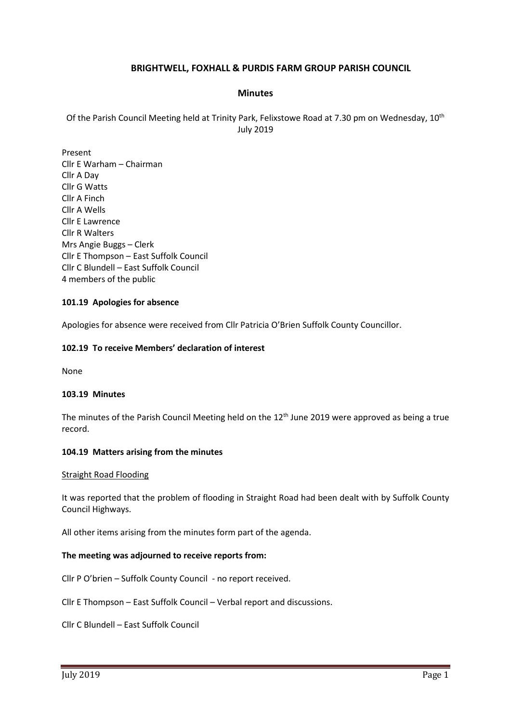# **BRIGHTWELL, FOXHALL & PURDIS FARM GROUP PARISH COUNCIL**

## **Minutes**

Of the Parish Council Meeting held at Trinity Park, Felixstowe Road at 7.30 pm on Wednesday, 10<sup>th</sup> July 2019

Present Cllr E Warham – Chairman Cllr A Day Cllr G Watts Cllr A Finch Cllr A Wells Cllr E Lawrence Cllr R Walters Mrs Angie Buggs – Clerk Cllr E Thompson – East Suffolk Council Cllr C Blundell – East Suffolk Council 4 members of the public

### **101.19 Apologies for absence**

Apologies for absence were received from Cllr Patricia O'Brien Suffolk County Councillor.

#### **102.19 To receive Members' declaration of interest**

None

#### **103.19 Minutes**

The minutes of the Parish Council Meeting held on the 12<sup>th</sup> June 2019 were approved as being a true record.

#### **104.19 Matters arising from the minutes**

#### Straight Road Flooding

It was reported that the problem of flooding in Straight Road had been dealt with by Suffolk County Council Highways.

All other items arising from the minutes form part of the agenda.

#### **The meeting was adjourned to receive reports from:**

Cllr P O'brien – Suffolk County Council - no report received.

Cllr E Thompson – East Suffolk Council – Verbal report and discussions.

Cllr C Blundell – East Suffolk Council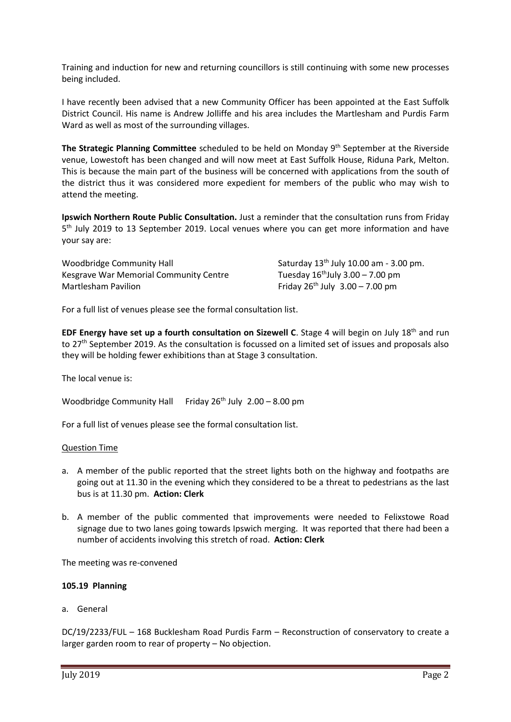Training and induction for new and returning councillors is still continuing with some new processes being included.

I have recently been advised that a new Community Officer has been appointed at the East Suffolk District Council. His name is Andrew Jolliffe and his area includes the Martlesham and Purdis Farm Ward as well as most of the surrounding villages.

The Strategic Planning Committee scheduled to be held on Monday 9<sup>th</sup> September at the Riverside venue, Lowestoft has been changed and will now meet at East Suffolk House, Riduna Park, Melton. This is because the main part of the business will be concerned with applications from the south of the district thus it was considered more expedient for members of the public who may wish to attend the meeting.

**Ipswich Northern Route Public Consultation.** Just a reminder that the consultation runs from Friday 5<sup>th</sup> July 2019 to 13 September 2019. Local venues where you can get more information and have your say are:

Woodbridge Community Hall Saturday 13<sup>th</sup> July 10.00 am - 3.00 pm. Kesgrave War Memorial Community Centre Tuesday  $16<sup>th</sup>$ July 3.00 – 7.00 pm Martlesham Pavilion  $\frac{1}{2}$  Friday 26<sup>th</sup> July 3.00 – 7.00 pm

For a full list of venues please see the formal consultation list.

**EDF Energy have set up a fourth consultation on Sizewell C.** Stage 4 will begin on July 18<sup>th</sup> and run to 27<sup>th</sup> September 2019. As the consultation is focussed on a limited set of issues and proposals also they will be holding fewer exhibitions than at Stage 3 consultation.

The local venue is:

Woodbridge Community Hall Friday  $26<sup>th</sup>$  July  $2.00 - 8.00$  pm

For a full list of venues please see the formal consultation list.

### Question Time

- a. A member of the public reported that the street lights both on the highway and footpaths are going out at 11.30 in the evening which they considered to be a threat to pedestrians as the last bus is at 11.30 pm. **Action: Clerk**
- b. A member of the public commented that improvements were needed to Felixstowe Road signage due to two lanes going towards Ipswich merging. It was reported that there had been a number of accidents involving this stretch of road. **Action: Clerk**

The meeting was re-convened

### **105.19 Planning**

a. General

DC/19/2233/FUL – 168 Bucklesham Road Purdis Farm – Reconstruction of conservatory to create a larger garden room to rear of property – No objection.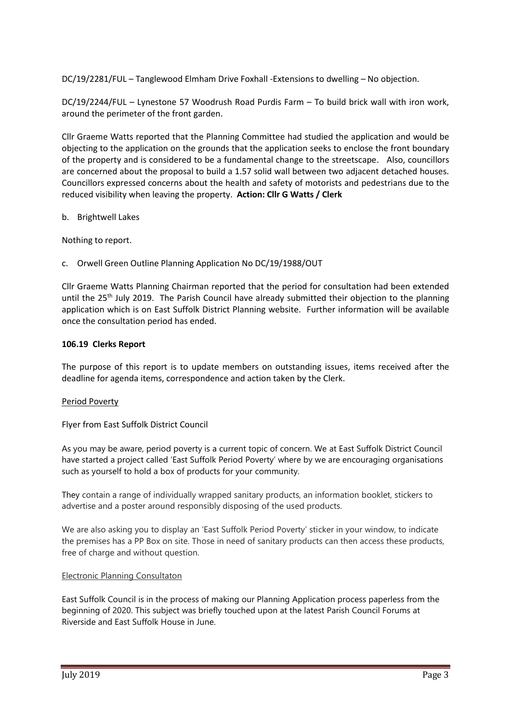DC/19/2281/FUL – Tanglewood Elmham Drive Foxhall -Extensions to dwelling – No objection.

DC/19/2244/FUL – Lynestone 57 Woodrush Road Purdis Farm – To build brick wall with iron work, around the perimeter of the front garden.

Cllr Graeme Watts reported that the Planning Committee had studied the application and would be objecting to the application on the grounds that the application seeks to enclose the front boundary of the property and is considered to be a fundamental change to the streetscape. Also, councillors are concerned about the proposal to build a 1.57 solid wall between two adjacent detached houses. Councillors expressed concerns about the health and safety of motorists and pedestrians due to the reduced visibility when leaving the property. **Action: Cllr G Watts / Clerk**

## b. Brightwell Lakes

Nothing to report.

c. Orwell Green Outline Planning Application No DC/19/1988/OUT

Cllr Graeme Watts Planning Chairman reported that the period for consultation had been extended until the 25<sup>th</sup> July 2019. The Parish Council have already submitted their objection to the planning application which is on East Suffolk District Planning website. Further information will be available once the consultation period has ended.

## **106.19 Clerks Report**

The purpose of this report is to update members on outstanding issues, items received after the deadline for agenda items, correspondence and action taken by the Clerk.

### Period Poverty

### Flyer from East Suffolk District Council

As you may be aware, period poverty is a current topic of concern. We at East Suffolk District Council have started a project called 'East Suffolk Period Poverty' where by we are encouraging organisations such as yourself to hold a box of products for your community.

They contain a range of individually wrapped sanitary products, an information booklet, stickers to advertise and a poster around responsibly disposing of the used products.

We are also asking you to display an 'East Suffolk Period Poverty' sticker in your window, to indicate the premises has a PP Box on site. Those in need of sanitary products can then access these products, free of charge and without question.

### Electronic Planning Consultaton

East Suffolk Council is in the process of making our Planning Application process paperless from the beginning of 2020. This subject was briefly touched upon at the latest Parish Council Forums at Riverside and East Suffolk House in June.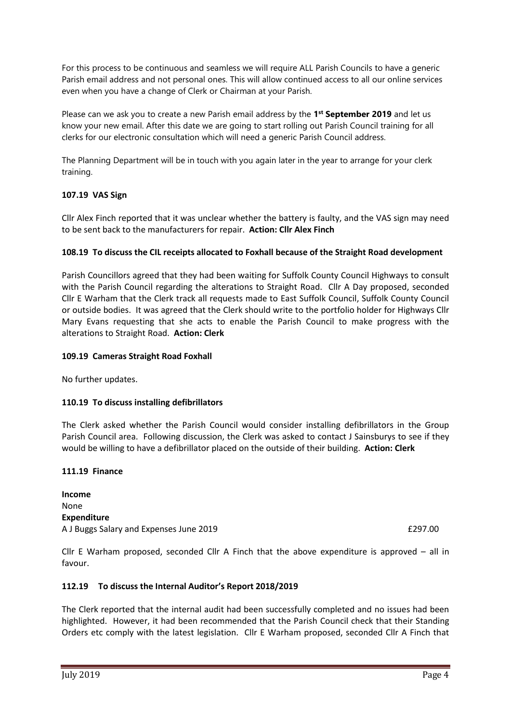For this process to be continuous and seamless we will require ALL Parish Councils to have a generic Parish email address and not personal ones. This will allow continued access to all our online services even when you have a change of Clerk or Chairman at your Parish.

Please can we ask you to create a new Parish email address by the 1<sup>st</sup> September 2019 and let us know your new email. After this date we are going to start rolling out Parish Council training for all clerks for our electronic consultation which will need a generic Parish Council address.

The Planning Department will be in touch with you again later in the year to arrange for your clerk training.

# **107.19 VAS Sign**

Cllr Alex Finch reported that it was unclear whether the battery is faulty, and the VAS sign may need to be sent back to the manufacturers for repair. **Action: Cllr Alex Finch**

## **108.19 To discuss the CIL receipts allocated to Foxhall because of the Straight Road development**

Parish Councillors agreed that they had been waiting for Suffolk County Council Highways to consult with the Parish Council regarding the alterations to Straight Road. Cllr A Day proposed, seconded Cllr E Warham that the Clerk track all requests made to East Suffolk Council, Suffolk County Council or outside bodies. It was agreed that the Clerk should write to the portfolio holder for Highways Cllr Mary Evans requesting that she acts to enable the Parish Council to make progress with the alterations to Straight Road. **Action: Clerk**

## **109.19 Cameras Straight Road Foxhall**

No further updates.

### **110.19 To discuss installing defibrillators**

The Clerk asked whether the Parish Council would consider installing defibrillators in the Group Parish Council area. Following discussion, the Clerk was asked to contact J Sainsburys to see if they would be willing to have a defibrillator placed on the outside of their building. **Action: Clerk**

### **111.19 Finance**

**Income** None **Expenditure** A J Buggs Salary and Expenses June 2019 **EXPENSION EXPENSION EXPISSION** 

Cllr E Warham proposed, seconded Cllr A Finch that the above expenditure is approved – all in favour.

### **112.19 To discuss the Internal Auditor's Report 2018/2019**

The Clerk reported that the internal audit had been successfully completed and no issues had been highlighted. However, it had been recommended that the Parish Council check that their Standing Orders etc comply with the latest legislation. Cllr E Warham proposed, seconded Cllr A Finch that